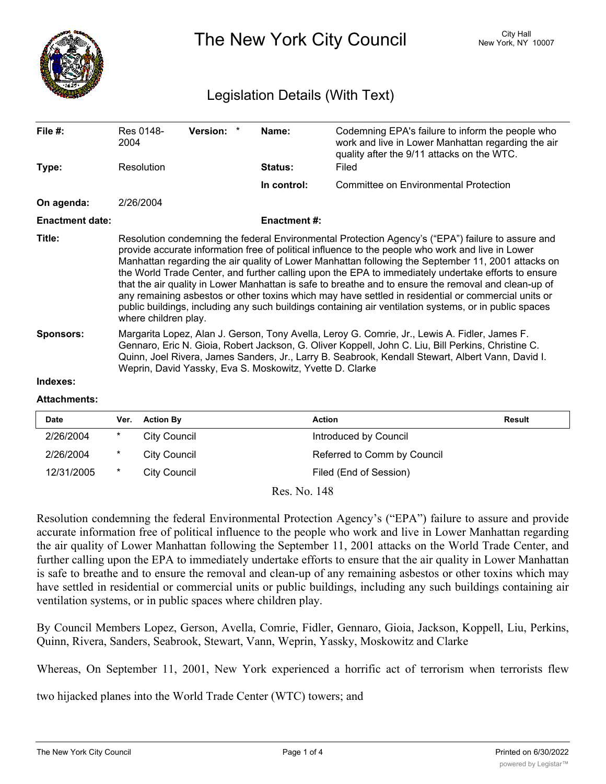

The New York City Council New York, NY 10007

## Legislation Details (With Text)

| File $#$ :             | Res 0148-<br>2004                                                                                                                                                                                                                                                                                                                                                                                                                                                                                                                                                                                                                                                                                                                                                    | Version: * | Name:               | Codemning EPA's failure to inform the people who<br>work and live in Lower Manhattan regarding the air<br>quality after the 9/11 attacks on the WTC. |  |  |
|------------------------|----------------------------------------------------------------------------------------------------------------------------------------------------------------------------------------------------------------------------------------------------------------------------------------------------------------------------------------------------------------------------------------------------------------------------------------------------------------------------------------------------------------------------------------------------------------------------------------------------------------------------------------------------------------------------------------------------------------------------------------------------------------------|------------|---------------------|------------------------------------------------------------------------------------------------------------------------------------------------------|--|--|
| Type:                  | Resolution                                                                                                                                                                                                                                                                                                                                                                                                                                                                                                                                                                                                                                                                                                                                                           |            | Status:             | Filed                                                                                                                                                |  |  |
|                        |                                                                                                                                                                                                                                                                                                                                                                                                                                                                                                                                                                                                                                                                                                                                                                      |            | In control:         | Committee on Environmental Protection                                                                                                                |  |  |
| On agenda:             | 2/26/2004                                                                                                                                                                                                                                                                                                                                                                                                                                                                                                                                                                                                                                                                                                                                                            |            |                     |                                                                                                                                                      |  |  |
| <b>Enactment date:</b> |                                                                                                                                                                                                                                                                                                                                                                                                                                                                                                                                                                                                                                                                                                                                                                      |            | <b>Enactment #:</b> |                                                                                                                                                      |  |  |
| Title:                 | Resolution condemning the federal Environmental Protection Agency's ("EPA") failure to assure and<br>provide accurate information free of political influence to the people who work and live in Lower<br>Manhattan regarding the air quality of Lower Manhattan following the September 11, 2001 attacks on<br>the World Trade Center, and further calling upon the EPA to immediately undertake efforts to ensure<br>that the air quality in Lower Manhattan is safe to breathe and to ensure the removal and clean-up of<br>any remaining asbestos or other toxins which may have settled in residential or commercial units or<br>public buildings, including any such buildings containing air ventilation systems, or in public spaces<br>where children play. |            |                     |                                                                                                                                                      |  |  |
| <b>Sponsors:</b>       | Margarita Lopez, Alan J. Gerson, Tony Avella, Leroy G. Comrie, Jr., Lewis A. Fidler, James F.<br>Gennaro, Eric N. Gioia, Robert Jackson, G. Oliver Koppell, John C. Liu, Bill Perkins, Christine C.<br>Quinn, Joel Rivera, James Sanders, Jr., Larry B. Seabrook, Kendall Stewart, Albert Vann, David I.<br>Weprin, David Yassky, Eva S. Moskowitz, Yvette D. Clarke                                                                                                                                                                                                                                                                                                                                                                                                 |            |                     |                                                                                                                                                      |  |  |
| Indexes:               |                                                                                                                                                                                                                                                                                                                                                                                                                                                                                                                                                                                                                                                                                                                                                                      |            |                     |                                                                                                                                                      |  |  |

## **Attachments:**

| <b>Date</b> | Ver.   | <b>Action By</b> | <b>Action</b>               | Result |
|-------------|--------|------------------|-----------------------------|--------|
| 2/26/2004   | *      | City Council     | Introduced by Council       |        |
| 2/26/2004   | $\ast$ | City Council     | Referred to Comm by Council |        |
| 12/31/2005  | $\ast$ | City Council     | Filed (End of Session)      |        |
|             |        |                  |                             |        |

Res. No. 148

Resolution condemning the federal Environmental Protection Agency's ("EPA") failure to assure and provide accurate information free of political influence to the people who work and live in Lower Manhattan regarding the air quality of Lower Manhattan following the September 11, 2001 attacks on the World Trade Center, and further calling upon the EPA to immediately undertake efforts to ensure that the air quality in Lower Manhattan is safe to breathe and to ensure the removal and clean-up of any remaining asbestos or other toxins which may have settled in residential or commercial units or public buildings, including any such buildings containing air ventilation systems, or in public spaces where children play.

By Council Members Lopez, Gerson, Avella, Comrie, Fidler, Gennaro, Gioia, Jackson, Koppell, Liu, Perkins, Quinn, Rivera, Sanders, Seabrook, Stewart, Vann, Weprin, Yassky, Moskowitz and Clarke

Whereas, On September 11, 2001, New York experienced a horrific act of terrorism when terrorists flew

two hijacked planes into the World Trade Center (WTC) towers; and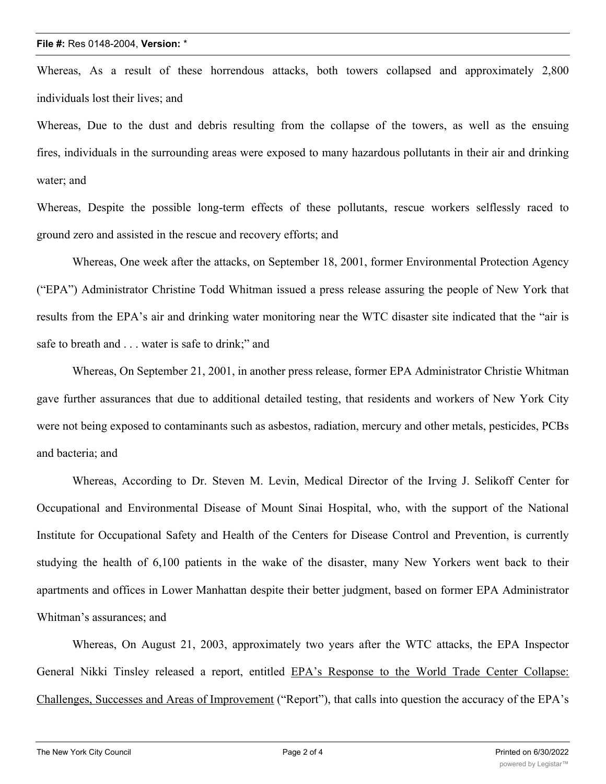Whereas, As a result of these horrendous attacks, both towers collapsed and approximately 2,800 individuals lost their lives; and

Whereas, Due to the dust and debris resulting from the collapse of the towers, as well as the ensuing fires, individuals in the surrounding areas were exposed to many hazardous pollutants in their air and drinking water; and

Whereas, Despite the possible long-term effects of these pollutants, rescue workers selflessly raced to ground zero and assisted in the rescue and recovery efforts; and

Whereas, One week after the attacks, on September 18, 2001, former Environmental Protection Agency ("EPA") Administrator Christine Todd Whitman issued a press release assuring the people of New York that results from the EPA's air and drinking water monitoring near the WTC disaster site indicated that the "air is safe to breath and . . . water is safe to drink;" and

Whereas, On September 21, 2001, in another press release, former EPA Administrator Christie Whitman gave further assurances that due to additional detailed testing, that residents and workers of New York City were not being exposed to contaminants such as asbestos, radiation, mercury and other metals, pesticides, PCBs and bacteria; and

Whereas, According to Dr. Steven M. Levin, Medical Director of the Irving J. Selikoff Center for Occupational and Environmental Disease of Mount Sinai Hospital, who, with the support of the National Institute for Occupational Safety and Health of the Centers for Disease Control and Prevention, is currently studying the health of 6,100 patients in the wake of the disaster, many New Yorkers went back to their apartments and offices in Lower Manhattan despite their better judgment, based on former EPA Administrator Whitman's assurances; and

Whereas, On August 21, 2003, approximately two years after the WTC attacks, the EPA Inspector General Nikki Tinsley released a report, entitled EPA's Response to the World Trade Center Collapse: Challenges, Successes and Areas of Improvement ("Report"), that calls into question the accuracy of the EPA's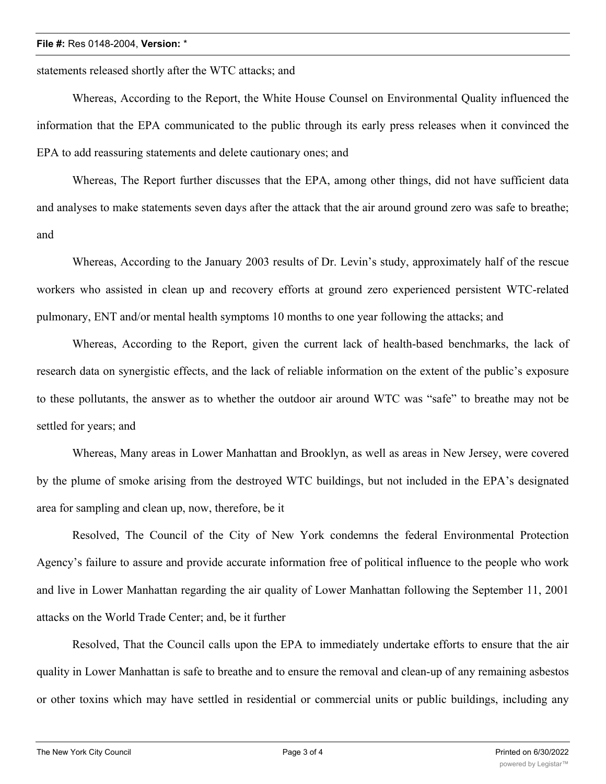## **File #:** Res 0148-2004, **Version:** \*

statements released shortly after the WTC attacks; and

Whereas, According to the Report, the White House Counsel on Environmental Quality influenced the information that the EPA communicated to the public through its early press releases when it convinced the EPA to add reassuring statements and delete cautionary ones; and

Whereas, The Report further discusses that the EPA, among other things, did not have sufficient data and analyses to make statements seven days after the attack that the air around ground zero was safe to breathe; and

Whereas, According to the January 2003 results of Dr. Levin's study, approximately half of the rescue workers who assisted in clean up and recovery efforts at ground zero experienced persistent WTC-related pulmonary, ENT and/or mental health symptoms 10 months to one year following the attacks; and

Whereas, According to the Report, given the current lack of health-based benchmarks, the lack of research data on synergistic effects, and the lack of reliable information on the extent of the public's exposure to these pollutants, the answer as to whether the outdoor air around WTC was "safe" to breathe may not be settled for years; and

Whereas, Many areas in Lower Manhattan and Brooklyn, as well as areas in New Jersey, were covered by the plume of smoke arising from the destroyed WTC buildings, but not included in the EPA's designated area for sampling and clean up, now, therefore, be it

Resolved, The Council of the City of New York condemns the federal Environmental Protection Agency's failure to assure and provide accurate information free of political influence to the people who work and live in Lower Manhattan regarding the air quality of Lower Manhattan following the September 11, 2001 attacks on the World Trade Center; and, be it further

Resolved, That the Council calls upon the EPA to immediately undertake efforts to ensure that the air quality in Lower Manhattan is safe to breathe and to ensure the removal and clean-up of any remaining asbestos or other toxins which may have settled in residential or commercial units or public buildings, including any